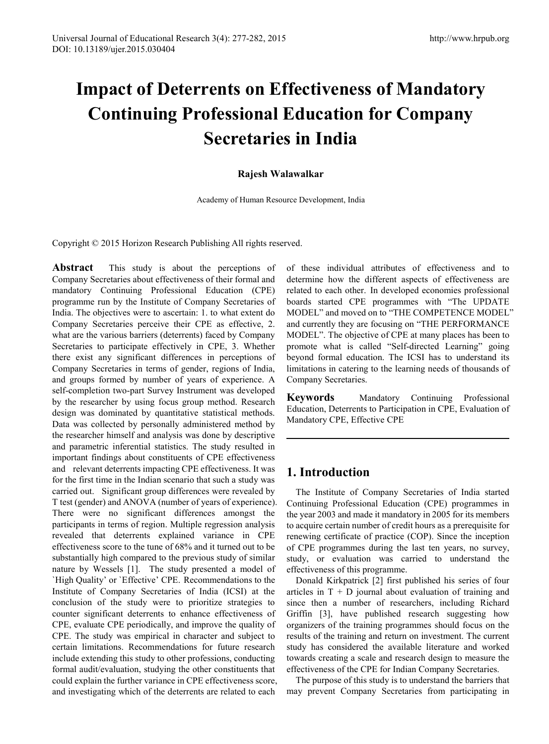# **Impact of Deterrents on Effectiveness of Mandatory Continuing Professional Education for Company Secretaries in India**

#### **Rajesh Walawalkar**

Academy of Human Resource Development, India

Copyright © 2015 Horizon Research Publishing All rights reserved.

**Abstract** This study is about the perceptions of Company Secretaries about effectiveness of their formal and mandatory Continuing Professional Education (CPE) programme run by the Institute of Company Secretaries of India. The objectives were to ascertain: 1. to what extent do Company Secretaries perceive their CPE as effective, 2. what are the various barriers (deterrents) faced by Company Secretaries to participate effectively in CPE, 3. Whether there exist any significant differences in perceptions of Company Secretaries in terms of gender, regions of India, and groups formed by number of years of experience. A self-completion two-part Survey Instrument was developed by the researcher by using focus group method. Research design was dominated by quantitative statistical methods. Data was collected by personally administered method by the researcher himself and analysis was done by descriptive and parametric inferential statistics. The study resulted in important findings about constituents of CPE effectiveness and relevant deterrents impacting CPE effectiveness. It was for the first time in the Indian scenario that such a study was carried out. Significant group differences were revealed by T test (gender) and ANOVA (number of years of experience). There were no significant differences amongst the participants in terms of region. Multiple regression analysis revealed that deterrents explained variance in CPE effectiveness score to the tune of 68% and it turned out to be substantially high compared to the previous study of similar nature by Wessels [1]. The study presented a model of `High Quality' or `Effective' CPE. Recommendations to the Institute of Company Secretaries of India (ICSI) at the conclusion of the study were to prioritize strategies to counter significant deterrents to enhance effectiveness of CPE, evaluate CPE periodically, and improve the quality of CPE. The study was empirical in character and subject to certain limitations. Recommendations for future research include extending this study to other professions, conducting formal audit/evaluation, studying the other constituents that could explain the further variance in CPE effectiveness score, and investigating which of the deterrents are related to each

of these individual attributes of effectiveness and to determine how the different aspects of effectiveness are related to each other. In developed economies professional boards started CPE programmes with "The UPDATE MODEL" and moved on to "THE COMPETENCE MODEL" and currently they are focusing on "THE PERFORMANCE MODEL". The objective of CPE at many places has been to promote what is called "Self-directed Learning" going beyond formal education. The ICSI has to understand its limitations in catering to the learning needs of thousands of Company Secretaries.

**Keywords** Mandatory Continuing Professional Education, Deterrents to Participation in CPE, Evaluation of Mandatory CPE, Effective CPE

# **1. Introduction**

The Institute of Company Secretaries of India started Continuing Professional Education (CPE) programmes in the year 2003 and made it mandatory in 2005 for its members to acquire certain number of credit hours as a prerequisite for renewing certificate of practice (COP). Since the inception of CPE programmes during the last ten years, no survey, study, or evaluation was carried to understand the effectiveness of this programme.

Donald Kirkpatrick [2] first published his series of four articles in  $T + D$  journal about evaluation of training and since then a number of researchers, including Richard Griffin [3], have published research suggesting how organizers of the training programmes should focus on the results of the training and return on investment. The current study has considered the available literature and worked towards creating a scale and research design to measure the effectiveness of the CPE for Indian Company Secretaries.

The purpose of this study is to understand the barriers that may prevent Company Secretaries from participating in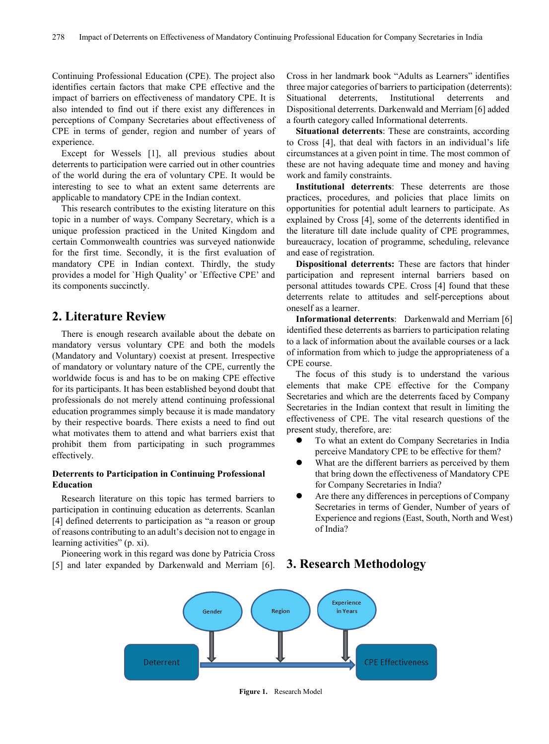Continuing Professional Education (CPE). The project also identifies certain factors that make CPE effective and the impact of barriers on effectiveness of mandatory CPE. It is also intended to find out if there exist any differences in perceptions of Company Secretaries about effectiveness of CPE in terms of gender, region and number of years of experience.

Except for Wessels [1], all previous studies about deterrents to participation were carried out in other countries of the world during the era of voluntary CPE. It would be interesting to see to what an extent same deterrents are applicable to mandatory CPE in the Indian context.

This research contributes to the existing literature on this topic in a number of ways. Company Secretary, which is a unique profession practiced in the United Kingdom and certain Commonwealth countries was surveyed nationwide for the first time. Secondly, it is the first evaluation of mandatory CPE in Indian context. Thirdly, the study provides a model for `High Quality' or `Effective CPE' and its components succinctly.

## **2. Literature Review**

There is enough research available about the debate on mandatory versus voluntary CPE and both the models (Mandatory and Voluntary) coexist at present. Irrespective of mandatory or voluntary nature of the CPE, currently the worldwide focus is and has to be on making CPE effective for its participants. It has been established beyond doubt that professionals do not merely attend continuing professional education programmes simply because it is made mandatory by their respective boards. There exists a need to find out what motivates them to attend and what barriers exist that prohibit them from participating in such programmes effectively.

#### **Deterrents to Participation in Continuing Professional Education**

Research literature on this topic has termed barriers to participation in continuing education as deterrents. Scanlan [4] defined deterrents to participation as "a reason or group of reasons contributing to an adult's decision not to engage in learning activities" (p. xi).

Pioneering work in this regard was done by Patricia Cross [5] and later expanded by Darkenwald and Merriam [6]. Cross in her landmark book "Adults as Learners" identifies three major categories of barriers to participation (deterrents): Situational deterrents, Institutional deterrents and Dispositional deterrents. Darkenwald and Merriam [6] added a fourth category called Informational deterrents.

**Situational deterrents**: These are constraints, according to Cross [4], that deal with factors in an individual's life circumstances at a given point in time. The most common of these are not having adequate time and money and having work and family constraints.

**Institutional deterrents**: These deterrents are those practices, procedures, and policies that place limits on opportunities for potential adult learners to participate. As explained by Cross [4], some of the deterrents identified in the literature till date include quality of CPE programmes, bureaucracy, location of programme, scheduling, relevance and ease of registration.

**Dispositional deterrents:** These are factors that hinder participation and represent internal barriers based on personal attitudes towards CPE. Cross [4] found that these deterrents relate to attitudes and self-perceptions about oneself as a learner.

**Informational deterrents**: Darkenwald and Merriam [6] identified these deterrents as barriers to participation relating to a lack of information about the available courses or a lack of information from which to judge the appropriateness of a CPE course.

The focus of this study is to understand the various elements that make CPE effective for the Company Secretaries and which are the deterrents faced by Company Secretaries in the Indian context that result in limiting the effectiveness of CPE. The vital research questions of the present study, therefore, are:

- To what an extent do Company Secretaries in India perceive Mandatory CPE to be effective for them?
- What are the different barriers as perceived by them that bring down the effectiveness of Mandatory CPE for Company Secretaries in India?
- Are there any differences in perceptions of Company Secretaries in terms of Gender, Number of years of Experience and regions (East, South, North and West) of India?

#### **3. Research Methodology**



**Figure 1.** Research Model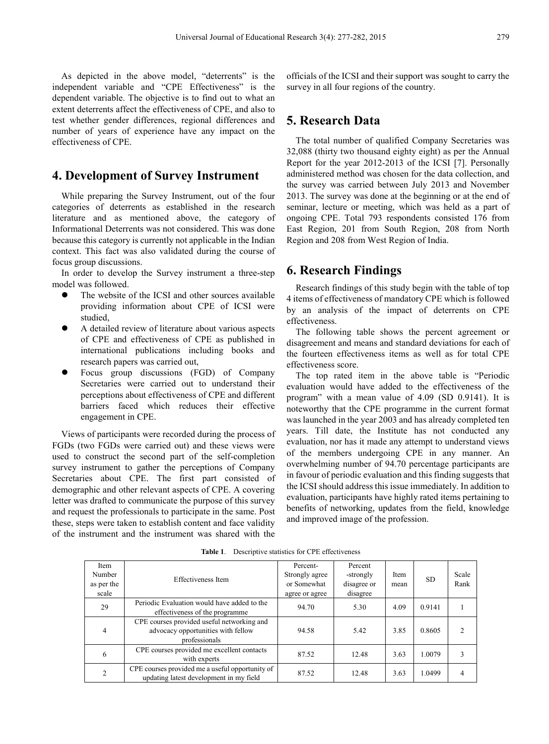As depicted in the above model, "deterrents" is the independent variable and "CPE Effectiveness" is the dependent variable. The objective is to find out to what an extent deterrents affect the effectiveness of CPE, and also to test whether gender differences, regional differences and number of years of experience have any impact on the effectiveness of CPE.

## **4. Development of Survey Instrument**

While preparing the Survey Instrument, out of the four categories of deterrents as established in the research literature and as mentioned above, the category of Informational Deterrents was not considered. This was done because this category is currently not applicable in the Indian context. This fact was also validated during the course of focus group discussions.

In order to develop the Survey instrument a three-step model was followed.

- The website of the ICSI and other sources available providing information about CPE of ICSI were studied,
- A detailed review of literature about various aspects of CPE and effectiveness of CPE as published in international publications including books and research papers was carried out,
- Focus group discussions (FGD) of Company Secretaries were carried out to understand their perceptions about effectiveness of CPE and different barriers faced which reduces their effective engagement in CPE.

Views of participants were recorded during the process of FGDs (two FGDs were carried out) and these views were used to construct the second part of the self-completion survey instrument to gather the perceptions of Company Secretaries about CPE. The first part consisted of demographic and other relevant aspects of CPE. A covering letter was drafted to communicate the purpose of this survey and request the professionals to participate in the same. Post these, steps were taken to establish content and face validity of the instrument and the instrument was shared with the

officials of the ICSI and their support was sought to carry the survey in all four regions of the country.

### **5. Research Data**

The total number of qualified Company Secretaries was 32,088 (thirty two thousand eighty eight) as per the Annual Report for the year 2012-2013 of the ICSI [7]. Personally administered method was chosen for the data collection, and the survey was carried between July 2013 and November 2013. The survey was done at the beginning or at the end of seminar, lecture or meeting, which was held as a part of ongoing CPE. Total 793 respondents consisted 176 from East Region, 201 from South Region, 208 from North Region and 208 from West Region of India.

#### **6. Research Findings**

Research findings of this study begin with the table of top 4 items of effectiveness of mandatory CPE which is followed by an analysis of the impact of deterrents on CPE effectiveness.

The following table shows the percent agreement or disagreement and means and standard deviations for each of the fourteen effectiveness items as well as for total CPE effectiveness score.

The top rated item in the above table is "Periodic evaluation would have added to the effectiveness of the program" with a mean value of 4.09 (SD 0.9141). It is noteworthy that the CPE programme in the current format was launched in the year 2003 and has already completed ten years. Till date, the Institute has not conducted any evaluation, nor has it made any attempt to understand views of the members undergoing CPE in any manner. An overwhelming number of 94.70 percentage participants are in favour of periodic evaluation and this finding suggests that the ICSI should address this issue immediately. In addition to evaluation, participants have highly rated items pertaining to benefits of networking, updates from the field, knowledge and improved image of the profession.

| Item<br>Number<br>as per the<br>scale | Effectiveness Item                                                                                | Percent-<br>Strongly agree<br>or Somewhat<br>agree or agree | Percent<br>-strongly<br>disagree or<br>disagree | Item<br>mean | <b>SD</b> | Scale<br>Rank |
|---------------------------------------|---------------------------------------------------------------------------------------------------|-------------------------------------------------------------|-------------------------------------------------|--------------|-----------|---------------|
| 29                                    | Periodic Evaluation would have added to the<br>effectiveness of the programme                     | 94.70                                                       | 5.30                                            | 4.09         | 0.9141    |               |
| 4                                     | CPE courses provided useful networking and<br>advocacy opportunities with fellow<br>professionals | 94.58                                                       | 5.42                                            | 3.85         | 0.8605    |               |
| 6                                     | CPE courses provided me excellent contacts<br>with experts                                        | 87.52                                                       | 12.48                                           | 3.63         | 1.0079    |               |
| $\mathfrak{D}$                        | CPE courses provided me a useful opportunity of<br>updating latest development in my field        | 87.52                                                       | 12.48                                           | 3.63         | 1.0499    |               |

**Table 1**. Descriptive statistics for CPE effectiveness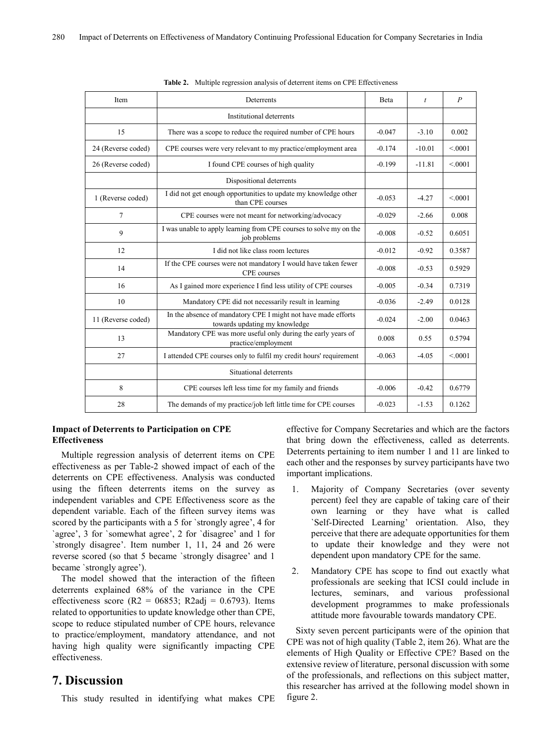| Item                                                                  | Deterrents                                                                                     | Beta     | $\boldsymbol{t}$ | $\boldsymbol{P}$ |
|-----------------------------------------------------------------------|------------------------------------------------------------------------------------------------|----------|------------------|------------------|
|                                                                       | Institutional deterrents                                                                       |          |                  |                  |
| 15                                                                    | There was a scope to reduce the required number of CPE hours                                   | $-0.047$ | $-3.10$          | 0.002            |
| 24 (Reverse coded)                                                    | CPE courses were very relevant to my practice/employment area                                  | $-0.174$ | $-10.01$         | < 0.001          |
| 26 (Reverse coded)                                                    | I found CPE courses of high quality                                                            | $-0.199$ | $-11.81$         | < 0.001          |
|                                                                       | Dispositional deterrents                                                                       |          |                  |                  |
| 1 (Reverse coded)                                                     | I did not get enough opportunities to update my knowledge other<br>than CPE courses            | $-0.053$ | $-4.27$          | < 0001           |
| 7                                                                     | CPE courses were not meant for networking/advocacy                                             | $-0.029$ | $-2.66$          | 0.008            |
| 9                                                                     | I was unable to apply learning from CPE courses to solve my on the<br>job problems             | $-0.008$ | $-0.52$          | 0.6051           |
| 12                                                                    | I did not like class room lectures                                                             | $-0.012$ | $-0.92$          | 0.3587           |
| 14                                                                    | If the CPE courses were not mandatory I would have taken fewer<br>CPE courses                  | $-0.008$ | $-0.53$          | 0.5929           |
| 16                                                                    | As I gained more experience I find less utility of CPE courses                                 | $-0.005$ | $-0.34$          | 0.7319           |
| 10                                                                    | Mandatory CPE did not necessarily result in learning                                           | $-0.036$ | $-2.49$          | 0.0128           |
| 11 (Reverse coded)                                                    | In the absence of mandatory CPE I might not have made efforts<br>towards updating my knowledge | $-0.024$ | $-2.00$          | 0.0463           |
| 13                                                                    | Mandatory CPE was more useful only during the early years of<br>practice/employment            | 0.008    | 0.55             | 0.5794           |
| 27                                                                    | I attended CPE courses only to fulfil my credit hours' requirement                             | $-0.063$ | $-4.05$          | < 0.001          |
|                                                                       | Situational deterrents                                                                         |          |                  |                  |
| 8                                                                     | CPE courses left less time for my family and friends                                           | $-0.006$ | $-0.42$          | 0.6779           |
| 28<br>The demands of my practice/job left little time for CPE courses |                                                                                                | $-0.023$ | $-1.53$          | 0.1262           |

**Table 2.** Multiple regression analysis of deterrent items on CPE Effectiveness

#### **Impact of Deterrents to Participation on CPE Effectiveness**

Multiple regression analysis of deterrent items on CPE effectiveness as per Table-2 showed impact of each of the deterrents on CPE effectiveness. Analysis was conducted using the fifteen deterrents items on the survey as independent variables and CPE Effectiveness score as the dependent variable. Each of the fifteen survey items was scored by the participants with a 5 for `strongly agree', 4 for `agree', 3 for `somewhat agree', 2 for `disagree' and 1 for `strongly disagree'. Item number 1, 11, 24 and 26 were reverse scored (so that 5 became `strongly disagree' and 1 became `strongly agree').

The model showed that the interaction of the fifteen deterrents explained 68% of the variance in the CPE effectiveness score ( $R2 = 06853$ ;  $R2$ adj = 0.6793). Items related to opportunities to update knowledge other than CPE, scope to reduce stipulated number of CPE hours, relevance to practice/employment, mandatory attendance, and not having high quality were significantly impacting CPE effectiveness.

## **7. Discussion**

This study resulted in identifying what makes CPE

effective for Company Secretaries and which are the factors that bring down the effectiveness, called as deterrents. Deterrents pertaining to item number 1 and 11 are linked to each other and the responses by survey participants have two important implications.

- 1. Majority of Company Secretaries (over seventy percent) feel they are capable of taking care of their own learning or they have what is called `Self-Directed Learning' orientation. Also, they perceive that there are adequate opportunities for them to update their knowledge and they were not dependent upon mandatory CPE for the same.
- 2. Mandatory CPE has scope to find out exactly what professionals are seeking that ICSI could include in lectures, seminars, and various professional development programmes to make professionals attitude more favourable towards mandatory CPE.

Sixty seven percent participants were of the opinion that CPE was not of high quality (Table 2, item 26). What are the elements of High Quality or Effective CPE? Based on the extensive review of literature, personal discussion with some of the professionals, and reflections on this subject matter, this researcher has arrived at the following model shown in figure 2.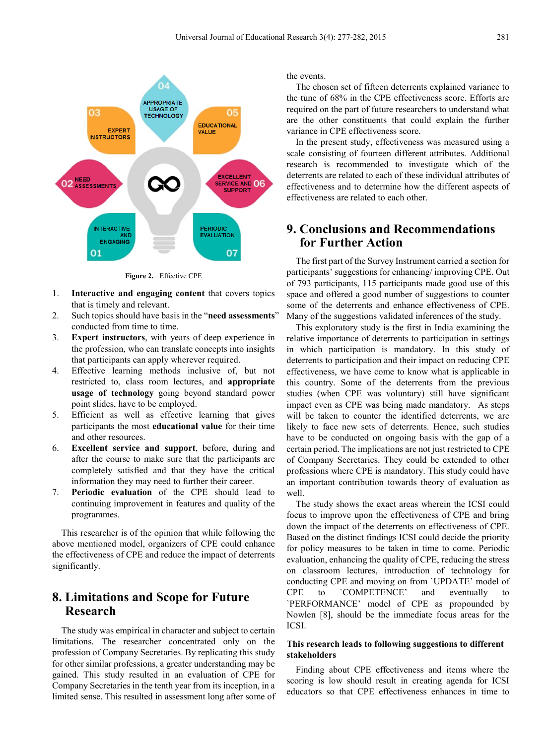

**Figure 2.** Effective CPE

- 1. **Interactive and engaging content** that covers topics that is timely and relevant.
- 2. Such topics should have basis in the "**need assessments**" conducted from time to time.
- 3. **Expert instructors**, with years of deep experience in the profession, who can translate concepts into insights that participants can apply wherever required.
- 4. Effective learning methods inclusive of, but not restricted to, class room lectures, and **appropriate usage of technology** going beyond standard power point slides, have to be employed.
- 5. Efficient as well as effective learning that gives participants the most **educational value** for their time and other resources.
- 6. **Excellent service and support**, before, during and after the course to make sure that the participants are completely satisfied and that they have the critical information they may need to further their career.
- 7. **Periodic evaluation** of the CPE should lead to continuing improvement in features and quality of the programmes.

This researcher is of the opinion that while following the above mentioned model, organizers of CPE could enhance the effectiveness of CPE and reduce the impact of deterrents significantly.

# **8. Limitations and Scope for Future Research**

The study was empirical in character and subject to certain limitations. The researcher concentrated only on the profession of Company Secretaries. By replicating this study for other similar professions, a greater understanding may be gained. This study resulted in an evaluation of CPE for Company Secretaries in the tenth year from its inception, in a limited sense. This resulted in assessment long after some of the events.

The chosen set of fifteen deterrents explained variance to the tune of 68% in the CPE effectiveness score. Efforts are required on the part of future researchers to understand what are the other constituents that could explain the further variance in CPE effectiveness score.

In the present study, effectiveness was measured using a scale consisting of fourteen different attributes. Additional research is recommended to investigate which of the deterrents are related to each of these individual attributes of effectiveness and to determine how the different aspects of effectiveness are related to each other.

# **9. Conclusions and Recommendations for Further Action**

The first part of the Survey Instrument carried a section for participants' suggestions for enhancing/ improving CPE. Out of 793 participants, 115 participants made good use of this space and offered a good number of suggestions to counter some of the deterrents and enhance effectiveness of CPE. Many of the suggestions validated inferences of the study.

This exploratory study is the first in India examining the relative importance of deterrents to participation in settings in which participation is mandatory. In this study of deterrents to participation and their impact on reducing CPE effectiveness, we have come to know what is applicable in this country. Some of the deterrents from the previous studies (when CPE was voluntary) still have significant impact even as CPE was being made mandatory. As steps will be taken to counter the identified deterrents, we are likely to face new sets of deterrents. Hence, such studies have to be conducted on ongoing basis with the gap of a certain period. The implications are not just restricted to CPE of Company Secretaries. They could be extended to other professions where CPE is mandatory. This study could have an important contribution towards theory of evaluation as well.

The study shows the exact areas wherein the ICSI could focus to improve upon the effectiveness of CPE and bring down the impact of the deterrents on effectiveness of CPE. Based on the distinct findings ICSI could decide the priority for policy measures to be taken in time to come. Periodic evaluation, enhancing the quality of CPE, reducing the stress on classroom lectures, introduction of technology for conducting CPE and moving on from `UPDATE' model of CPE to `COMPETENCE' and eventually to `PERFORMANCE' model of CPE as propounded by Nowlen [8], should be the immediate focus areas for the ICSI.

#### **This research leads to following suggestions to different stakeholders**

Finding about CPE effectiveness and items where the scoring is low should result in creating agenda for ICSI educators so that CPE effectiveness enhances in time to